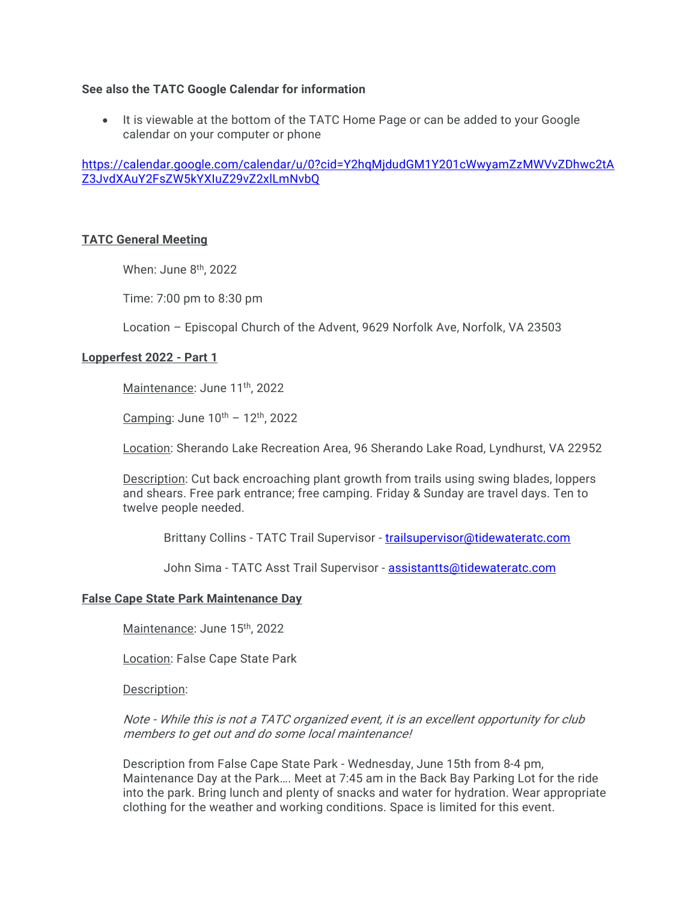## See also the TATC Google Calendar for information

 It is viewable at the bottom of the TATC Home Page or can be added to your Google calendar on your computer or phone

https://calendar.google.com/calendar/u/0?cid=Y2hqMjdudGM1Y201cWwyamZzMWVvZDhwc2tA Z3JvdXAuY2FsZW5kYXIuZ29vZ2xlLmNvbQ

### TATC General Meeting

When: June 8<sup>th</sup>, 2022

Time: 7:00 pm to 8:30 pm

Location – Episcopal Church of the Advent, 9629 Norfolk Ave, Norfolk, VA 23503

### Lopperfest 2022 - Part 1

Maintenance: June 11<sup>th</sup>, 2022

Camping: June  $10^{th}$  –  $12^{th}$ , 2022

Location: Sherando Lake Recreation Area, 96 Sherando Lake Road, Lyndhurst, VA 22952

Description: Cut back encroaching plant growth from trails using swing blades, loppers and shears. Free park entrance; free camping. Friday & Sunday are travel days. Ten to twelve people needed.

Brittany Collins - TATC Trail Supervisor - trailsupervisor@tidewateratc.com

John Sima - TATC Asst Trail Supervisor - assistantts@tidewateratc.com

#### False Cape State Park Maintenance Day

Maintenance: June 15th, 2022

Location: False Cape State Park

Description:

Note - While this is not a TATC organized event, it is an excellent opportunity for club members to get out and do some local maintenance!

Description from False Cape State Park - Wednesday, June 15th from 8-4 pm, Maintenance Day at the Park…. Meet at 7:45 am in the Back Bay Parking Lot for the ride into the park. Bring lunch and plenty of snacks and water for hydration. Wear appropriate clothing for the weather and working conditions. Space is limited for this event.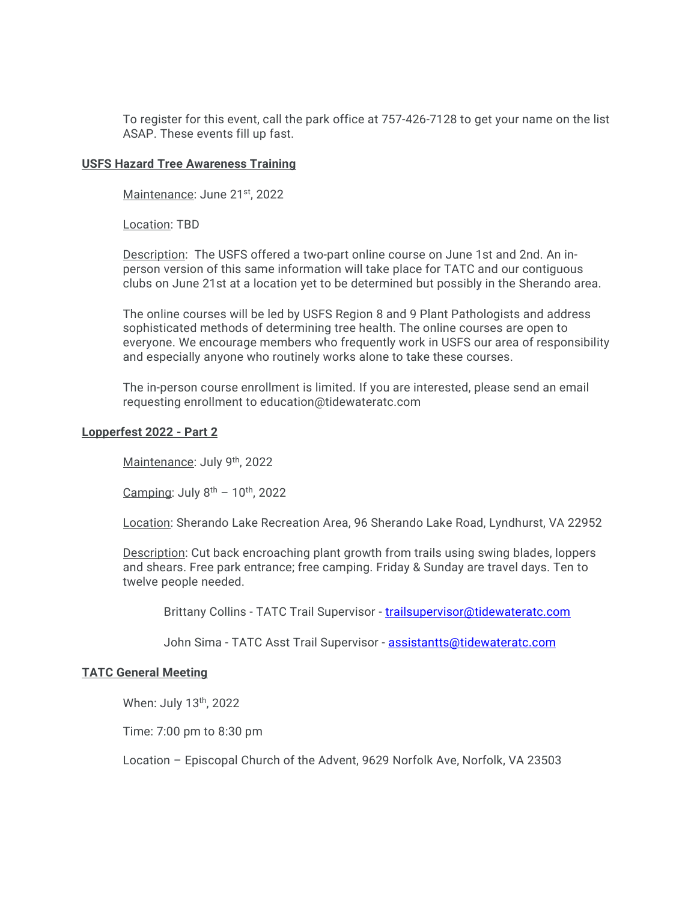To register for this event, call the park office at 757-426-7128 to get your name on the list ASAP. These events fill up fast.

### USFS Hazard Tree Awareness Training

Maintenance: June 21st, 2022

Location: TBD

Description: The USFS offered a two-part online course on June 1st and 2nd. An inperson version of this same information will take place for TATC and our contiguous clubs on June 21st at a location yet to be determined but possibly in the Sherando area.

The online courses will be led by USFS Region 8 and 9 Plant Pathologists and address sophisticated methods of determining tree health. The online courses are open to everyone. We encourage members who frequently work in USFS our area of responsibility and especially anyone who routinely works alone to take these courses.

The in-person course enrollment is limited. If you are interested, please send an email requesting enrollment to education@tidewateratc.com

### Lopperfest 2022 - Part 2

Maintenance: July 9th, 2022

Camping: July  $8<sup>th</sup> - 10<sup>th</sup>$ , 2022

Location: Sherando Lake Recreation Area, 96 Sherando Lake Road, Lyndhurst, VA 22952

Description: Cut back encroaching plant growth from trails using swing blades, loppers and shears. Free park entrance; free camping. Friday & Sunday are travel days. Ten to twelve people needed.

Brittany Collins - TATC Trail Supervisor - trailsupervisor@tidewateratc.com

John Sima - TATC Asst Trail Supervisor - assistantts@tidewateratc.com

# TATC General Meeting

When: July 13th, 2022

Time: 7:00 pm to 8:30 pm

Location – Episcopal Church of the Advent, 9629 Norfolk Ave, Norfolk, VA 23503